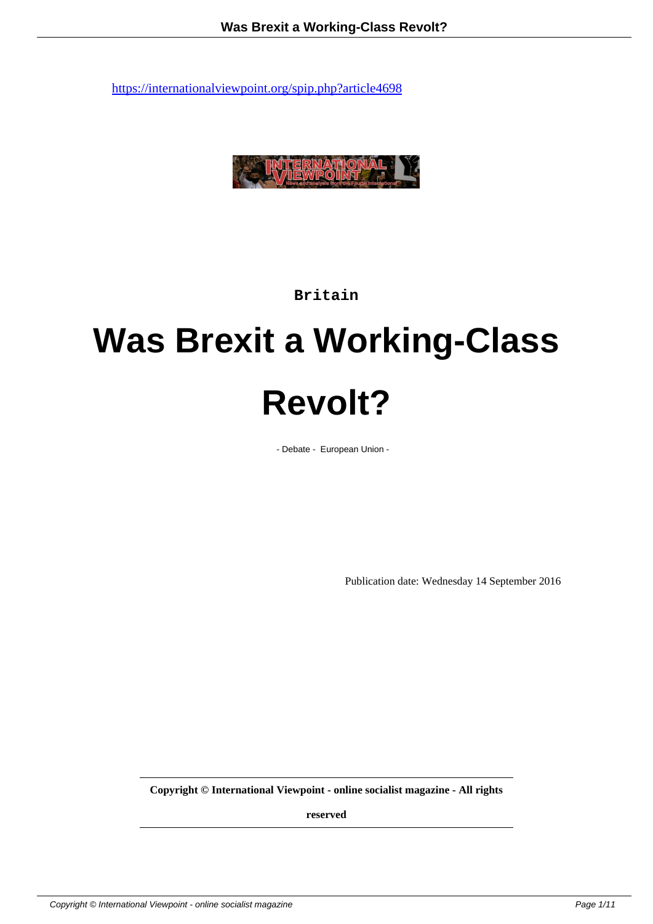

**Britain**

# **Was Brexit a Working-Class Revolt?**

- Debate - European Union -

Publication date: Wednesday 14 September 2016

**Copyright © International Viewpoint - online socialist magazine - All rights**

**reserved**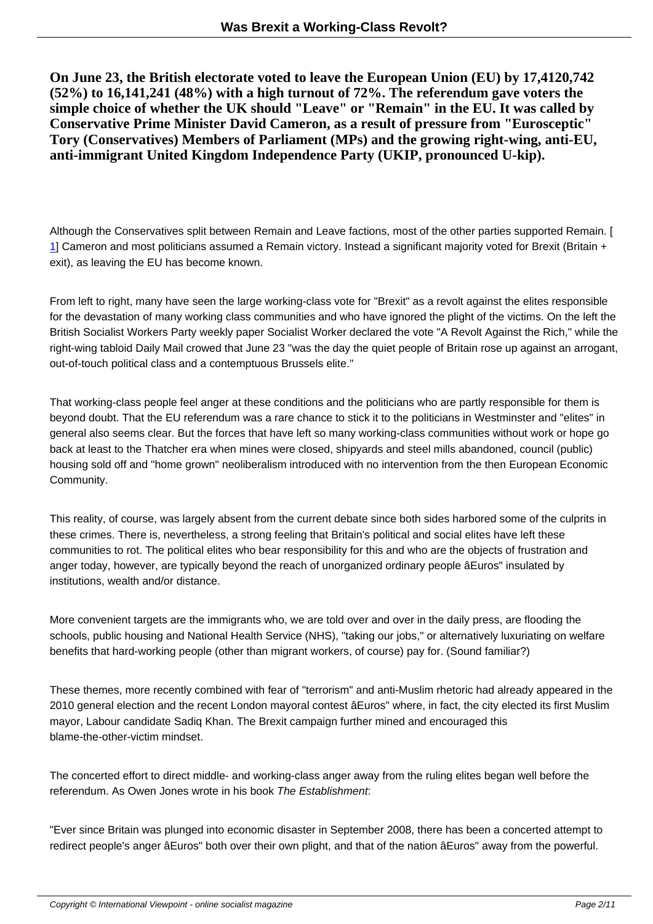**On June 23, the British electorate voted to leave the European Union (EU) by 17,4120,742 (52%) to 16,141,241 (48%) with a high turnout of 72%. The referendum gave voters the simple choice of whether the UK should "Leave" or "Remain" in the EU. It was called by Conservative Prime Minister David Cameron, as a result of pressure from "Eurosceptic" Tory (Conservatives) Members of Parliament (MPs) and the growing right-wing, anti-EU, anti-immigrant United Kingdom Independence Party (UKIP, pronounced U-kip).**

Although the Conservatives split between Remain and Leave factions, most of the other parties supported Remain. [ 1] Cameron and most politicians assumed a Remain victory. Instead a significant majority voted for Brexit (Britain + exit), as leaving the EU has become known.

[F](#nb1)rom left to right, many have seen the large working-class vote for "Brexit" as a revolt against the elites responsible for the devastation of many working class communities and who have ignored the plight of the victims. On the left the British Socialist Workers Party weekly paper Socialist Worker declared the vote "A Revolt Against the Rich," while the right-wing tabloid Daily Mail crowed that June 23 "was the day the quiet people of Britain rose up against an arrogant, out-of-touch political class and a contemptuous Brussels elite."

That working-class people feel anger at these conditions and the politicians who are partly responsible for them is beyond doubt. That the EU referendum was a rare chance to stick it to the politicians in Westminster and "elites" in general also seems clear. But the forces that have left so many working-class communities without work or hope go back at least to the Thatcher era when mines were closed, shipyards and steel mills abandoned, council (public) housing sold off and "home grown" neoliberalism introduced with no intervention from the then European Economic Community.

This reality, of course, was largely absent from the current debate since both sides harbored some of the culprits in these crimes. There is, nevertheless, a strong feeling that Britain's political and social elites have left these communities to rot. The political elites who bear responsibility for this and who are the objects of frustration and anger today, however, are typically beyond the reach of unorganized ordinary people âEuros" insulated by institutions, wealth and/or distance.

More convenient targets are the immigrants who, we are told over and over in the daily press, are flooding the schools, public housing and National Health Service (NHS), "taking our jobs," or alternatively luxuriating on welfare benefits that hard-working people (other than migrant workers, of course) pay for. (Sound familiar?)

These themes, more recently combined with fear of "terrorism" and anti-Muslim rhetoric had already appeared in the 2010 general election and the recent London mayoral contest âEuros" where, in fact, the city elected its first Muslim mayor, Labour candidate Sadiq Khan. The Brexit campaign further mined and encouraged this blame-the-other-victim mindset.

The concerted effort to direct middle- and working-class anger away from the ruling elites began well before the referendum. As Owen Jones wrote in his book The Establishment:

"Ever since Britain was plunged into economic disaster in September 2008, there has been a concerted attempt to redirect people's anger âEuros" both over their own plight, and that of the nation âEuros" away from the powerful.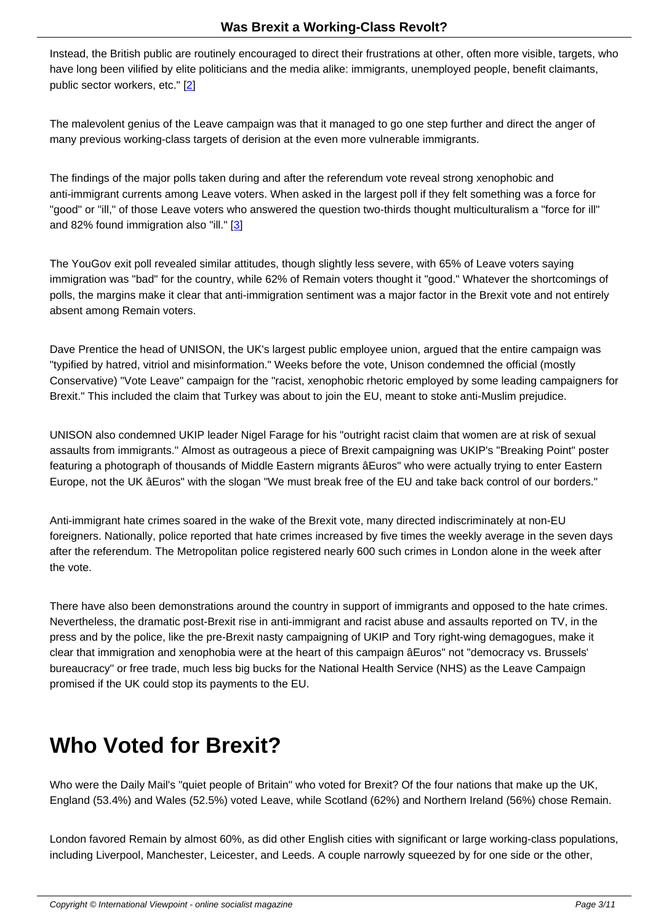Instead, the British public are routinely encouraged to direct their frustrations at other, often more visible, targets, who have long been vilified by elite politicians and the media alike: immigrants, unemployed people, benefit claimants, public sector workers, etc." [2]

The malevolent genius of the Leave campaign was that it managed to go one step further and direct the anger of many previous working-clas[s](#nb2) targets of derision at the even more vulnerable immigrants.

The findings of the major polls taken during and after the referendum vote reveal strong xenophobic and anti-immigrant currents among Leave voters. When asked in the largest poll if they felt something was a force for "good" or "ill," of those Leave voters who answered the question two-thirds thought multiculturalism a "force for ill" and 82% found immigration also "ill." [3]

The YouGov exit poll revealed similar attitudes, though slightly less severe, with 65% of Leave voters saying immigration was "bad" for the country[, w](#nb3)hile 62% of Remain voters thought it "good." Whatever the shortcomings of polls, the margins make it clear that anti-immigration sentiment was a major factor in the Brexit vote and not entirely absent among Remain voters.

Dave Prentice the head of UNISON, the UK's largest public employee union, argued that the entire campaign was "typified by hatred, vitriol and misinformation." Weeks before the vote, Unison condemned the official (mostly Conservative) "Vote Leave" campaign for the "racist, xenophobic rhetoric employed by some leading campaigners for Brexit." This included the claim that Turkey was about to join the EU, meant to stoke anti-Muslim prejudice.

UNISON also condemned UKIP leader Nigel Farage for his "outright racist claim that women are at risk of sexual assaults from immigrants." Almost as outrageous a piece of Brexit campaigning was UKIP's "Breaking Point" poster featuring a photograph of thousands of Middle Eastern migrants âEuros" who were actually trying to enter Eastern Europe, not the UK âEuros" with the slogan "We must break free of the EU and take back control of our borders."

Anti-immigrant hate crimes soared in the wake of the Brexit vote, many directed indiscriminately at non-EU foreigners. Nationally, police reported that hate crimes increased by five times the weekly average in the seven days after the referendum. The Metropolitan police registered nearly 600 such crimes in London alone in the week after the vote.

There have also been demonstrations around the country in support of immigrants and opposed to the hate crimes. Nevertheless, the dramatic post-Brexit rise in anti-immigrant and racist abuse and assaults reported on TV, in the press and by the police, like the pre-Brexit nasty campaigning of UKIP and Tory right-wing demagogues, make it clear that immigration and xenophobia were at the heart of this campaign âEuros" not "democracy vs. Brussels' bureaucracy" or free trade, much less big bucks for the National Health Service (NHS) as the Leave Campaign promised if the UK could stop its payments to the EU.

# **Who Voted for Brexit?**

Who were the Daily Mail's "quiet people of Britain" who voted for Brexit? Of the four nations that make up the UK, England (53.4%) and Wales (52.5%) voted Leave, while Scotland (62%) and Northern Ireland (56%) chose Remain.

London favored Remain by almost 60%, as did other English cities with significant or large working-class populations, including Liverpool, Manchester, Leicester, and Leeds. A couple narrowly squeezed by for one side or the other,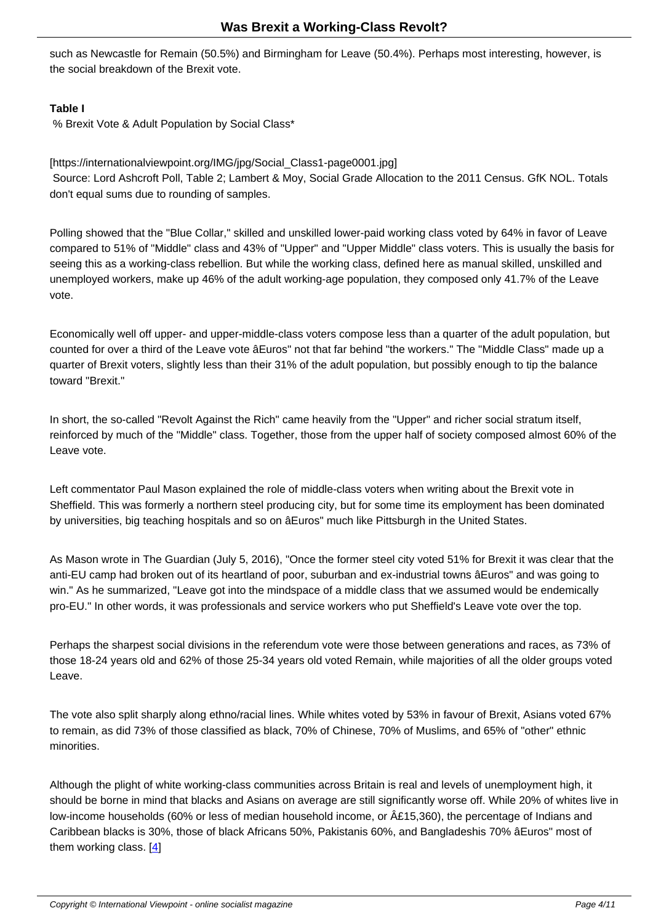such as Newcastle for Remain (50.5%) and Birmingham for Leave (50.4%). Perhaps most interesting, however, is the social breakdown of the Brexit vote.

### **Table I**

% Brexit Vote & Adult Population by Social Class\*

### [https://internationalviewpoint.org/IMG/jpg/Social\_Class1-page0001.jpg]

 Source: Lord Ashcroft Poll, Table 2; Lambert & Moy, Social Grade Allocation to the 2011 Census. GfK NOL. Totals don't equal sums due to rounding of samples.

Polling showed that the "Blue Collar," skilled and unskilled lower-paid working class voted by 64% in favor of Leave compared to 51% of "Middle" class and 43% of "Upper" and "Upper Middle" class voters. This is usually the basis for seeing this as a working-class rebellion. But while the working class, defined here as manual skilled, unskilled and unemployed workers, make up 46% of the adult working-age population, they composed only 41.7% of the Leave vote.

Economically well off upper- and upper-middle-class voters compose less than a quarter of the adult population, but counted for over a third of the Leave vote âEuros" not that far behind "the workers." The "Middle Class" made up a quarter of Brexit voters, slightly less than their 31% of the adult population, but possibly enough to tip the balance toward "Brexit."

In short, the so-called "Revolt Against the Rich" came heavily from the "Upper" and richer social stratum itself, reinforced by much of the "Middle" class. Together, those from the upper half of society composed almost 60% of the Leave vote.

Left commentator Paul Mason explained the role of middle-class voters when writing about the Brexit vote in Sheffield. This was formerly a northern steel producing city, but for some time its employment has been dominated by universities, big teaching hospitals and so on âEuros" much like Pittsburgh in the United States.

As Mason wrote in The Guardian (July 5, 2016), "Once the former steel city voted 51% for Brexit it was clear that the anti-EU camp had broken out of its heartland of poor, suburban and ex-industrial towns âEuros" and was going to win." As he summarized, "Leave got into the mindspace of a middle class that we assumed would be endemically pro-EU." In other words, it was professionals and service workers who put Sheffield's Leave vote over the top.

Perhaps the sharpest social divisions in the referendum vote were those between generations and races, as 73% of those 18-24 years old and 62% of those 25-34 years old voted Remain, while majorities of all the older groups voted Leave.

The vote also split sharply along ethno/racial lines. While whites voted by 53% in favour of Brexit, Asians voted 67% to remain, as did 73% of those classified as black, 70% of Chinese, 70% of Muslims, and 65% of "other" ethnic minorities.

Although the plight of white working-class communities across Britain is real and levels of unemployment high, it should be borne in mind that blacks and Asians on average are still significantly worse off. While 20% of whites live in low-income households (60% or less of median household income, or  $\hat{A}E15,360$ ), the percentage of Indians and Caribbean blacks is 30%, those of black Africans 50%, Pakistanis 60%, and Bangladeshis 70% âEuros" most of them working class.  $[4]$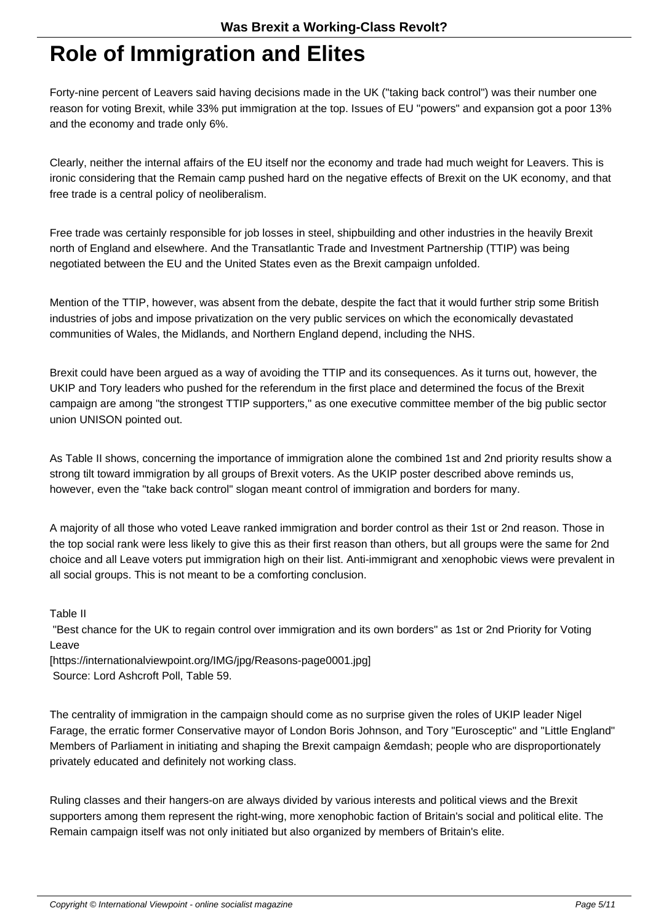#### **Role of Immigration and Elites**

Forty-nine percent of Leavers said having decisions made in the UK ("taking back control") was their number one reason for voting Brexit, while 33% put immigration at the top. Issues of EU "powers" and expansion got a poor 13% and the economy and trade only 6%.

Clearly, neither the internal affairs of the EU itself nor the economy and trade had much weight for Leavers. This is ironic considering that the Remain camp pushed hard on the negative effects of Brexit on the UK economy, and that free trade is a central policy of neoliberalism.

Free trade was certainly responsible for job losses in steel, shipbuilding and other industries in the heavily Brexit north of England and elsewhere. And the Transatlantic Trade and Investment Partnership (TTIP) was being negotiated between the EU and the United States even as the Brexit campaign unfolded.

Mention of the TTIP, however, was absent from the debate, despite the fact that it would further strip some British industries of jobs and impose privatization on the very public services on which the economically devastated communities of Wales, the Midlands, and Northern England depend, including the NHS.

Brexit could have been argued as a way of avoiding the TTIP and its consequences. As it turns out, however, the UKIP and Tory leaders who pushed for the referendum in the first place and determined the focus of the Brexit campaign are among "the strongest TTIP supporters," as one executive committee member of the big public sector union UNISON pointed out.

As Table II shows, concerning the importance of immigration alone the combined 1st and 2nd priority results show a strong tilt toward immigration by all groups of Brexit voters. As the UKIP poster described above reminds us, however, even the "take back control" slogan meant control of immigration and borders for many.

A majority of all those who voted Leave ranked immigration and border control as their 1st or 2nd reason. Those in the top social rank were less likely to give this as their first reason than others, but all groups were the same for 2nd choice and all Leave voters put immigration high on their list. Anti-immigrant and xenophobic views were prevalent in all social groups. This is not meant to be a comforting conclusion.

Table II

 "Best chance for the UK to regain control over immigration and its own borders" as 1st or 2nd Priority for Voting Leave

[https://internationalviewpoint.org/IMG/jpg/Reasons-page0001.jpg] Source: Lord Ashcroft Poll, Table 59.

The centrality of immigration in the campaign should come as no surprise given the roles of UKIP leader Nigel Farage, the erratic former Conservative mayor of London Boris Johnson, and Tory "Eurosceptic" and "Little England" Members of Parliament in initiating and shaping the Brexit campaign &emdash; people who are disproportionately privately educated and definitely not working class.

Ruling classes and their hangers-on are always divided by various interests and political views and the Brexit supporters among them represent the right-wing, more xenophobic faction of Britain's social and political elite. The Remain campaign itself was not only initiated but also organized by members of Britain's elite.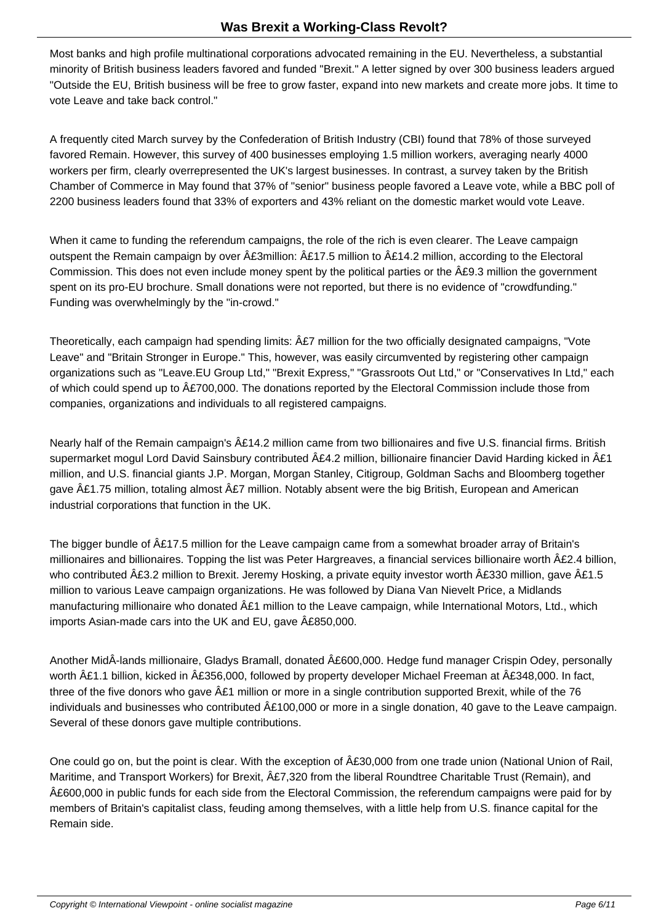Most banks and high profile multinational corporations advocated remaining in the EU. Nevertheless, a substantial minority of British business leaders favored and funded "Brexit." A letter signed by over 300 business leaders argued "Outside the EU, British business will be free to grow faster, expand into new markets and create more jobs. It time to vote Leave and take back control."

A frequently cited March survey by the Confederation of British Industry (CBI) found that 78% of those surveyed favored Remain. However, this survey of 400 businesses employing 1.5 million workers, averaging nearly 4000 workers per firm, clearly overrepresented the UK's largest businesses. In contrast, a survey taken by the British Chamber of Commerce in May found that 37% of "senior" business people favored a Leave vote, while a BBC poll of 2200 business leaders found that 33% of exporters and 43% reliant on the domestic market would vote Leave.

When it came to funding the referendum campaigns, the role of the rich is even clearer. The Leave campaign outspent the Remain campaign by over  $\hat{A}E3$ million:  $\hat{A}E17.5$  million to  $\hat{A}E14.2$  million, according to the Electoral Commission. This does not even include money spent by the political parties or the £9.3 million the government spent on its pro-EU brochure. Small donations were not reported, but there is no evidence of "crowdfunding." Funding was overwhelmingly by the "in-crowd."

Theoretically, each campaign had spending limits:  $\hat{A}E7$  million for the two officially designated campaigns, "Vote Leave" and "Britain Stronger in Europe." This, however, was easily circumvented by registering other campaign organizations such as "Leave.EU Group Ltd," "Brexit Express," "Grassroots Out Ltd," or "Conservatives In Ltd," each of which could spend up to £700,000. The donations reported by the Electoral Commission include those from companies, organizations and individuals to all registered campaigns.

Nearly half of the Remain campaign's  $\hat{A}E14.2$  million came from two billionaires and five U.S. financial firms. British supermarket mogul Lord David Sainsbury contributed £4.2 million, billionaire financier David Harding kicked in £1 million, and U.S. financial giants J.P. Morgan, Morgan Stanley, Citigroup, Goldman Sachs and Bloomberg together gave £1.75 million, totaling almost £7 million. Notably absent were the big British, European and American industrial corporations that function in the UK.

The bigger bundle of £17.5 million for the Leave campaign came from a somewhat broader array of Britain's millionaires and billionaires. Topping the list was Peter Hargreaves, a financial services billionaire worth £2.4 billion, who contributed  $\hat{A}$ £3.2 million to Brexit. Jeremy Hosking, a private equity investor worth  $\hat{A}$ £330 million, gave  $\hat{A}$ £1.5 million to various Leave campaign organizations. He was followed by Diana Van Nievelt Price, a Midlands manufacturing millionaire who donated  $\hat{A}E1$  million to the Leave campaign, while International Motors, Ltd., which imports Asian-made cars into the UK and EU, gave  $\hat{A}E850,000$ .

Another MidÂ-lands millionaire, Gladys Bramall, donated £600,000. Hedge fund manager Crispin Odey, personally worth £1.1 billion, kicked in £356,000, followed by property developer Michael Freeman at £348,000. In fact, three of the five donors who gave  $\hat{A}E1$  million or more in a single contribution supported Brexit, while of the 76 individuals and businesses who contributed  $\hat{A}E100,000$  or more in a single donation, 40 gave to the Leave campaign. Several of these donors gave multiple contributions.

One could go on, but the point is clear. With the exception of  $\hat{A}E30,000$  from one trade union (National Union of Rail, Maritime, and Transport Workers) for Brexit,  $\hat{A}E7,320$  from the liberal Roundtree Charitable Trust (Remain), and £600,000 in public funds for each side from the Electoral Commission, the referendum campaigns were paid for by members of Britain's capitalist class, feuding among themselves, with a little help from U.S. finance capital for the Remain side.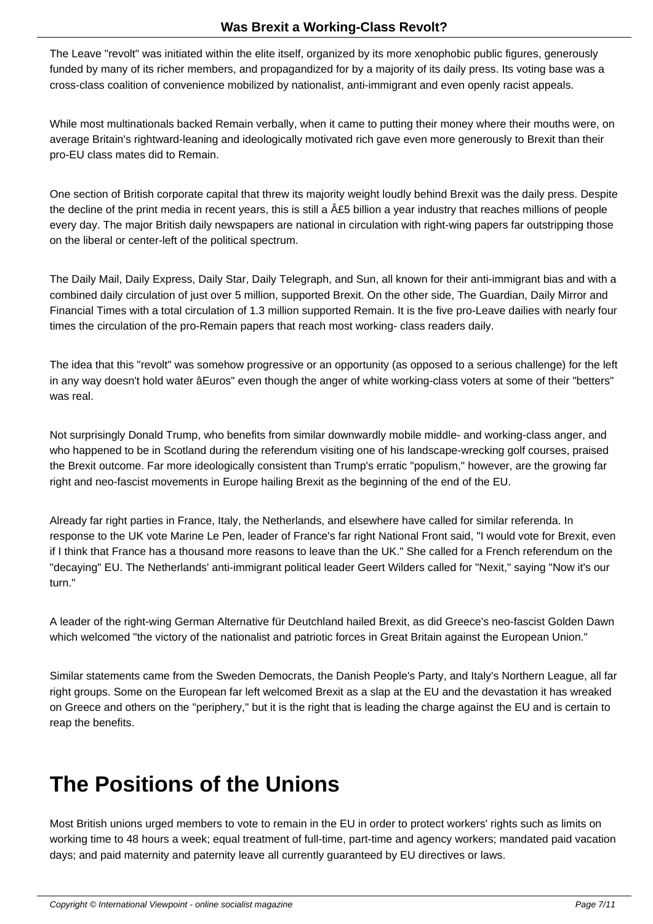The Leave "revolt" was initiated within the elite itself, organized by its more xenophobic public figures, generously funded by many of its richer members, and propagandized for by a majority of its daily press. Its voting base was a cross-class coalition of convenience mobilized by nationalist, anti-immigrant and even openly racist appeals.

While most multinationals backed Remain verbally, when it came to putting their money where their mouths were, on average Britain's rightward-leaning and ideologically motivated rich gave even more generously to Brexit than their pro-EU class mates did to Remain.

One section of British corporate capital that threw its majority weight loudly behind Brexit was the daily press. Despite the decline of the print media in recent years, this is still a  $\hat{A}E5$  billion a year industry that reaches millions of people every day. The major British daily newspapers are national in circulation with right-wing papers far outstripping those on the liberal or center-left of the political spectrum.

The Daily Mail, Daily Express, Daily Star, Daily Telegraph, and Sun, all known for their anti-immigrant bias and with a combined daily circulation of just over 5 million, supported Brexit. On the other side, The Guardian, Daily Mirror and Financial Times with a total circulation of 1.3 million supported Remain. It is the five pro-Leave dailies with nearly four times the circulation of the pro-Remain papers that reach most working- class readers daily.

The idea that this "revolt" was somehow progressive or an opportunity (as opposed to a serious challenge) for the left in any way doesn't hold water âEuros" even though the anger of white working-class voters at some of their "betters" was real.

Not surprisingly Donald Trump, who benefits from similar downwardly mobile middle- and working-class anger, and who happened to be in Scotland during the referendum visiting one of his landscape-wrecking golf courses, praised the Brexit outcome. Far more ideologically consistent than Trump's erratic "populism," however, are the growing far right and neo-fascist movements in Europe hailing Brexit as the beginning of the end of the EU.

Already far right parties in France, Italy, the Netherlands, and elsewhere have called for similar referenda. In response to the UK vote Marine Le Pen, leader of France's far right National Front said, "I would vote for Brexit, even if I think that France has a thousand more reasons to leave than the UK." She called for a French referendum on the "decaying" EU. The Netherlands' anti-immigrant political leader Geert Wilders called for "Nexit," saying "Now it's our turn."

A leader of the right-wing German Alternative für Deutchland hailed Brexit, as did Greece's neo-fascist Golden Dawn which welcomed "the victory of the nationalist and patriotic forces in Great Britain against the European Union."

Similar statements came from the Sweden Democrats, the Danish People's Party, and Italy's Northern League, all far right groups. Some on the European far left welcomed Brexit as a slap at the EU and the devastation it has wreaked on Greece and others on the "periphery," but it is the right that is leading the charge against the EU and is certain to reap the benefits.

### **The Positions of the Unions**

Most British unions urged members to vote to remain in the EU in order to protect workers' rights such as limits on working time to 48 hours a week; equal treatment of full-time, part-time and agency workers; mandated paid vacation days; and paid maternity and paternity leave all currently guaranteed by EU directives or laws.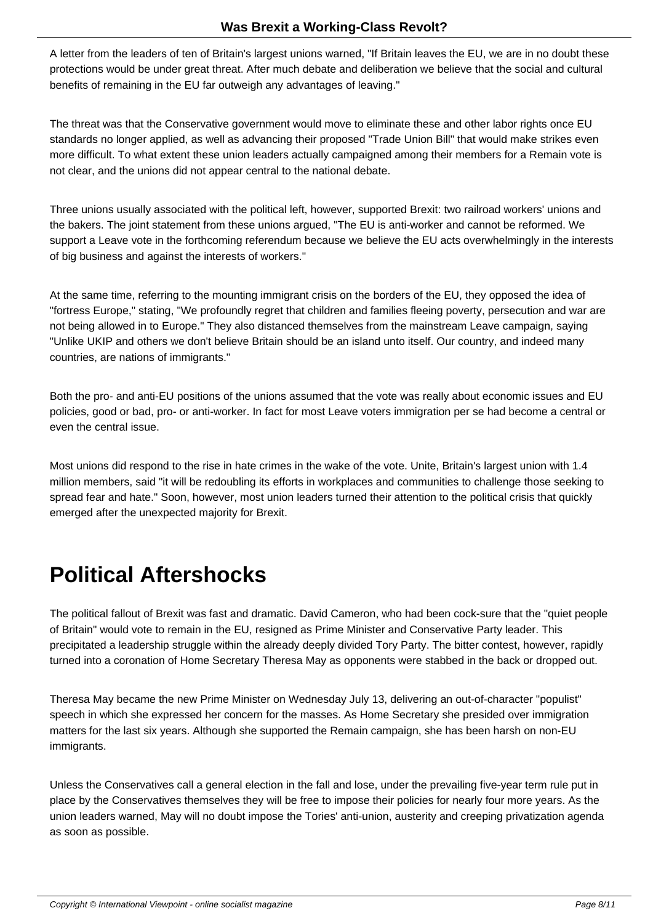A letter from the leaders of ten of Britain's largest unions warned, "If Britain leaves the EU, we are in no doubt these protections would be under great threat. After much debate and deliberation we believe that the social and cultural benefits of remaining in the EU far outweigh any advantages of leaving."

The threat was that the Conservative government would move to eliminate these and other labor rights once EU standards no longer applied, as well as advancing their proposed "Trade Union Bill" that would make strikes even more difficult. To what extent these union leaders actually campaigned among their members for a Remain vote is not clear, and the unions did not appear central to the national debate.

Three unions usually associated with the political left, however, supported Brexit: two railroad workers' unions and the bakers. The joint statement from these unions argued, "The EU is anti-worker and cannot be reformed. We support a Leave vote in the forthcoming referendum because we believe the EU acts overwhelmingly in the interests of big business and against the interests of workers."

At the same time, referring to the mounting immigrant crisis on the borders of the EU, they opposed the idea of "fortress Europe," stating, "We profoundly regret that children and families fleeing poverty, persecution and war are not being allowed in to Europe." They also distanced themselves from the mainstream Leave campaign, saying "Unlike UKIP and others we don't believe Britain should be an island unto itself. Our country, and indeed many countries, are nations of immigrants."

Both the pro- and anti-EU positions of the unions assumed that the vote was really about economic issues and EU policies, good or bad, pro- or anti-worker. In fact for most Leave voters immigration per se had become a central or even the central issue.

Most unions did respond to the rise in hate crimes in the wake of the vote. Unite, Britain's largest union with 1.4 million members, said "it will be redoubling its efforts in workplaces and communities to challenge those seeking to spread fear and hate." Soon, however, most union leaders turned their attention to the political crisis that quickly emerged after the unexpected majority for Brexit.

# **Political Aftershocks**

The political fallout of Brexit was fast and dramatic. David Cameron, who had been cock-sure that the "quiet people of Britain" would vote to remain in the EU, resigned as Prime Minister and Conservative Party leader. This precipitated a leadership struggle within the already deeply divided Tory Party. The bitter contest, however, rapidly turned into a coronation of Home Secretary Theresa May as opponents were stabbed in the back or dropped out.

Theresa May became the new Prime Minister on Wednesday July 13, delivering an out-of-character "populist" speech in which she expressed her concern for the masses. As Home Secretary she presided over immigration matters for the last six years. Although she supported the Remain campaign, she has been harsh on non-EU immigrants.

Unless the Conservatives call a general election in the fall and lose, under the prevailing five-year term rule put in place by the Conservatives themselves they will be free to impose their policies for nearly four more years. As the union leaders warned, May will no doubt impose the Tories' anti-union, austerity and creeping privatization agenda as soon as possible.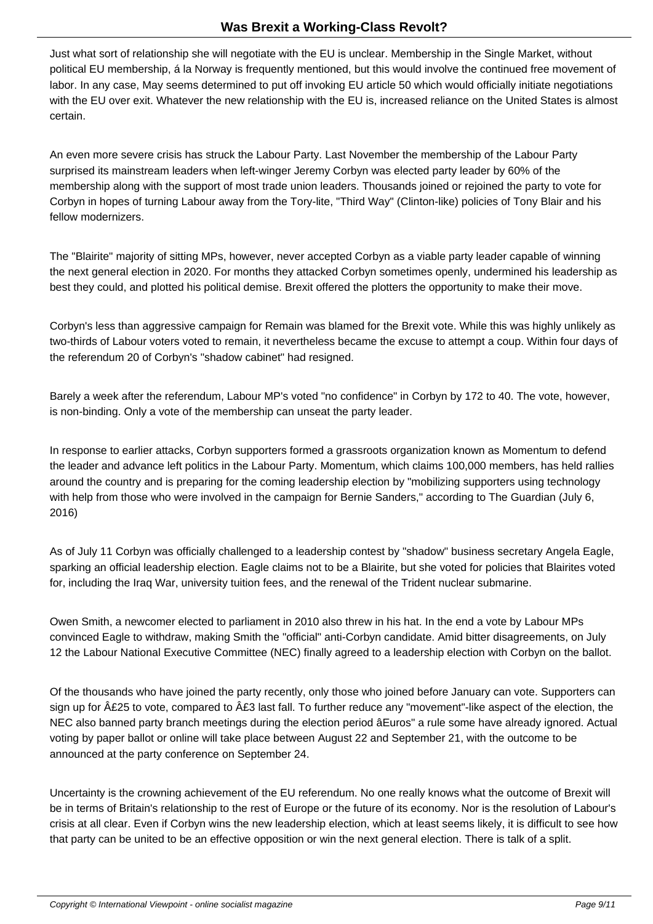Just what sort of relationship she will negotiate with the EU is unclear. Membership in the Single Market, without political EU membership, á la Norway is frequently mentioned, but this would involve the continued free movement of labor. In any case, May seems determined to put off invoking EU article 50 which would officially initiate negotiations with the EU over exit. Whatever the new relationship with the EU is, increased reliance on the United States is almost certain.

An even more severe crisis has struck the Labour Party. Last November the membership of the Labour Party surprised its mainstream leaders when left-winger Jeremy Corbyn was elected party leader by 60% of the membership along with the support of most trade union leaders. Thousands joined or rejoined the party to vote for Corbyn in hopes of turning Labour away from the Tory-lite, "Third Way" (Clinton-like) policies of Tony Blair and his fellow modernizers.

The "Blairite" majority of sitting MPs, however, never accepted Corbyn as a viable party leader capable of winning the next general election in 2020. For months they attacked Corbyn sometimes openly, undermined his leadership as best they could, and plotted his political demise. Brexit offered the plotters the opportunity to make their move.

Corbyn's less than aggressive campaign for Remain was blamed for the Brexit vote. While this was highly unlikely as two-thirds of Labour voters voted to remain, it nevertheless became the excuse to attempt a coup. Within four days of the referendum 20 of Corbyn's "shadow cabinet" had resigned.

Barely a week after the referendum, Labour MP's voted "no confidence" in Corbyn by 172 to 40. The vote, however, is non-binding. Only a vote of the membership can unseat the party leader.

In response to earlier attacks, Corbyn supporters formed a grassroots organization known as Momentum to defend the leader and advance left politics in the Labour Party. Momentum, which claims 100,000 members, has held rallies around the country and is preparing for the coming leadership election by "mobilizing supporters using technology with help from those who were involved in the campaign for Bernie Sanders," according to The Guardian (July 6, 2016)

As of July 11 Corbyn was officially challenged to a leadership contest by "shadow" business secretary Angela Eagle, sparking an official leadership election. Eagle claims not to be a Blairite, but she voted for policies that Blairites voted for, including the Iraq War, university tuition fees, and the renewal of the Trident nuclear submarine.

Owen Smith, a newcomer elected to parliament in 2010 also threw in his hat. In the end a vote by Labour MPs convinced Eagle to withdraw, making Smith the "official" anti-Corbyn candidate. Amid bitter disagreements, on July 12 the Labour National Executive Committee (NEC) finally agreed to a leadership election with Corbyn on the ballot.

Of the thousands who have joined the party recently, only those who joined before January can vote. Supporters can sign up for  $\hat{A}E25$  to vote, compared to  $\hat{A}E3$  last fall. To further reduce any "movement"-like aspect of the election, the NEC also banned party branch meetings during the election period âEuros" a rule some have already ignored. Actual voting by paper ballot or online will take place between August 22 and September 21, with the outcome to be announced at the party conference on September 24.

Uncertainty is the crowning achievement of the EU referendum. No one really knows what the outcome of Brexit will be in terms of Britain's relationship to the rest of Europe or the future of its economy. Nor is the resolution of Labour's crisis at all clear. Even if Corbyn wins the new leadership election, which at least seems likely, it is difficult to see how that party can be united to be an effective opposition or win the next general election. There is talk of a split.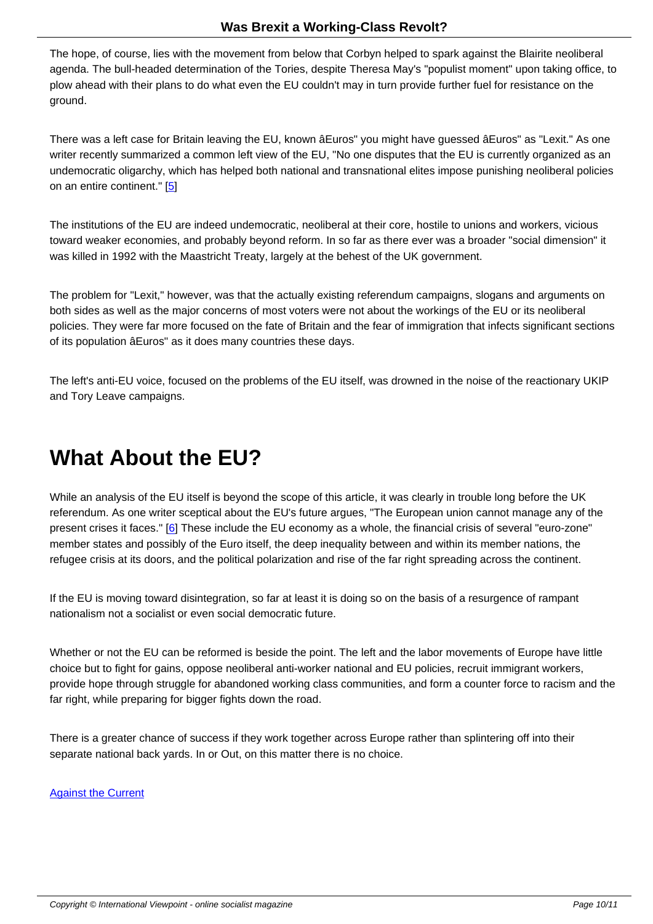The hope, of course, lies with the movement from below that Corbyn helped to spark against the Blairite neoliberal agenda. The bull-headed determination of the Tories, despite Theresa May's "populist moment" upon taking office, to plow ahead with their plans to do what even the EU couldn't may in turn provide further fuel for resistance on the ground.

There was a left case for Britain leaving the EU, known âEuros" you might have guessed âEuros" as "Lexit." As one writer recently summarized a common left view of the EU, "No one disputes that the EU is currently organized as an undemocratic oligarchy, which has helped both national and transnational elites impose punishing neoliberal policies on an entire continent." [5]

The institutions of the EU are indeed undemocratic, neoliberal at their core, hostile to unions and workers, vicious toward weaker economi[es](#nb5), and probably beyond reform. In so far as there ever was a broader "social dimension" it was killed in 1992 with the Maastricht Treaty, largely at the behest of the UK government.

The problem for "Lexit," however, was that the actually existing referendum campaigns, slogans and arguments on both sides as well as the major concerns of most voters were not about the workings of the EU or its neoliberal policies. They were far more focused on the fate of Britain and the fear of immigration that infects significant sections of its population âEuros" as it does many countries these days.

The left's anti-EU voice, focused on the problems of the EU itself, was drowned in the noise of the reactionary UKIP and Tory Leave campaigns.

### **What About the EU?**

While an analysis of the EU itself is beyond the scope of this article, it was clearly in trouble long before the UK referendum. As one writer sceptical about the EU's future argues, "The European union cannot manage any of the present crises it faces." [6] These include the EU economy as a whole, the financial crisis of several "euro-zone" member states and possibly of the Euro itself, the deep inequality between and within its member nations, the refugee crisis at its doors, and the political polarization and rise of the far right spreading across the continent.

If the EU is moving toward disintegration, so far at least it is doing so on the basis of a resurgence of rampant nationalism not a socialist or even social democratic future.

Whether or not the EU can be reformed is beside the point. The left and the labor movements of Europe have little choice but to fight for gains, oppose neoliberal anti-worker national and EU policies, recruit immigrant workers, provide hope through struggle for abandoned working class communities, and form a counter force to racism and the far right, while preparing for bigger fights down the road.

There is a greater chance of success if they work together across Europe rather than splintering off into their separate national back yards. In or Out, on this matter there is no choice.

Against the Current